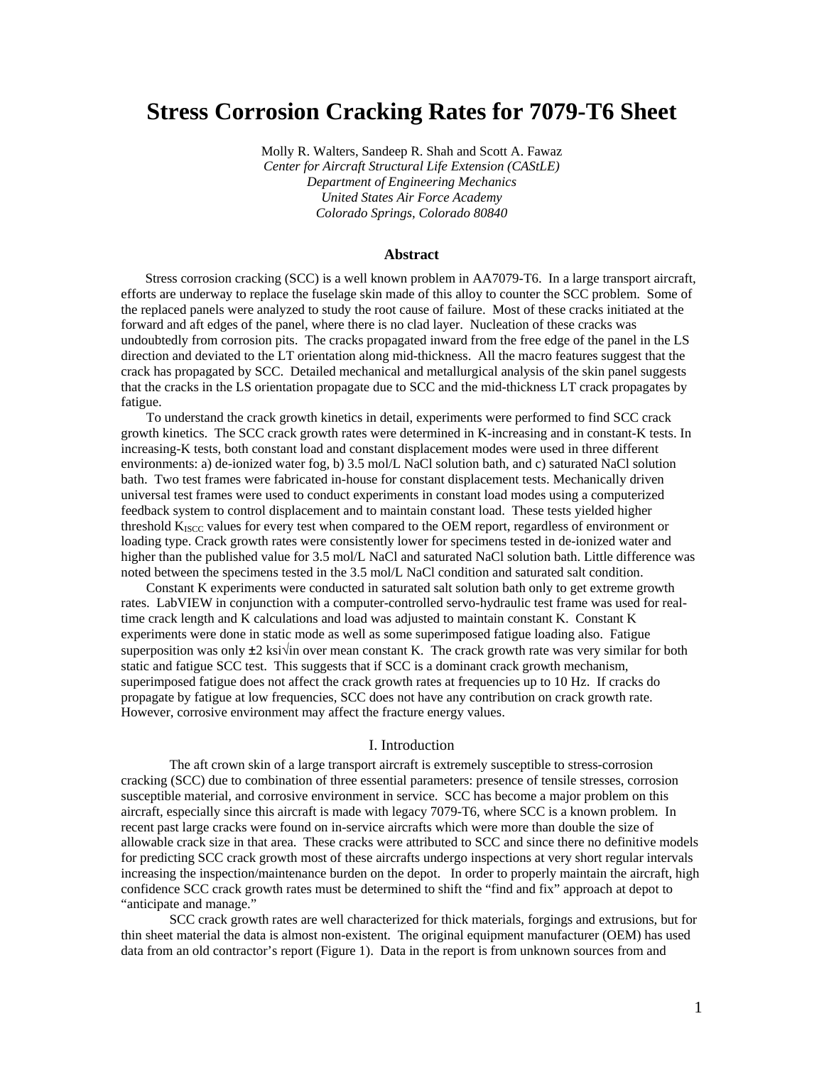# **Stress Corrosion Cracking Rates for 7079-T6 Sheet**

Molly R. Walters, Sandeep R. Shah and Scott A. Fawaz *Center for Aircraft Structural Life Extension (CAStLE) Department of Engineering Mechanics United States Air Force Academy Colorado Springs, Colorado 80840* 

## **Abstract**

Stress corrosion cracking (SCC) is a well known problem in AA7079-T6. In a large transport aircraft, efforts are underway to replace the fuselage skin made of this alloy to counter the SCC problem. Some of the replaced panels were analyzed to study the root cause of failure. Most of these cracks initiated at the forward and aft edges of the panel, where there is no clad layer. Nucleation of these cracks was undoubtedly from corrosion pits. The cracks propagated inward from the free edge of the panel in the LS direction and deviated to the LT orientation along mid-thickness. All the macro features suggest that the crack has propagated by SCC. Detailed mechanical and metallurgical analysis of the skin panel suggests that the cracks in the LS orientation propagate due to SCC and the mid-thickness LT crack propagates by fatigue.

To understand the crack growth kinetics in detail, experiments were performed to find SCC crack growth kinetics. The SCC crack growth rates were determined in K-increasing and in constant-K tests. In increasing-K tests, both constant load and constant displacement modes were used in three different environments: a) de-ionized water fog, b) 3.5 mol/L NaCl solution bath, and c) saturated NaCl solution bath. Two test frames were fabricated in-house for constant displacement tests. Mechanically driven universal test frames were used to conduct experiments in constant load modes using a computerized feedback system to control displacement and to maintain constant load. These tests yielded higher threshold  $K<sub>ISCO</sub>$  values for every test when compared to the OEM report, regardless of environment or loading type. Crack growth rates were consistently lower for specimens tested in de-ionized water and higher than the published value for 3.5 mol/L NaCl and saturated NaCl solution bath. Little difference was noted between the specimens tested in the 3.5 mol/L NaCl condition and saturated salt condition.

Constant K experiments were conducted in saturated salt solution bath only to get extreme growth rates. LabVIEW in conjunction with a computer-controlled servo-hydraulic test frame was used for realtime crack length and K calculations and load was adjusted to maintain constant K. Constant K experiments were done in static mode as well as some superimposed fatigue loading also. Fatigue superposition was only  $\pm 2$  ksi√in over mean constant K. The crack growth rate was very similar for both static and fatigue SCC test. This suggests that if SCC is a dominant crack growth mechanism, superimposed fatigue does not affect the crack growth rates at frequencies up to 10 Hz. If cracks do propagate by fatigue at low frequencies, SCC does not have any contribution on crack growth rate. However, corrosive environment may affect the fracture energy values.

### I. Introduction

The aft crown skin of a large transport aircraft is extremely susceptible to stress-corrosion cracking (SCC) due to combination of three essential parameters: presence of tensile stresses, corrosion susceptible material, and corrosive environment in service. SCC has become a major problem on this aircraft, especially since this aircraft is made with legacy 7079-T6, where SCC is a known problem. In recent past large cracks were found on in-service aircrafts which were more than double the size of allowable crack size in that area. These cracks were attributed to SCC and since there no definitive models for predicting SCC crack growth most of these aircrafts undergo inspections at very short regular intervals increasing the inspection/maintenance burden on the depot. In order to properly maintain the aircraft, high confidence SCC crack growth rates must be determined to shift the "find and fix" approach at depot to "anticipate and manage."

SCC crack growth rates are well characterized for thick materials, forgings and extrusions, but for thin sheet material the data is almost non-existent. The original equipment manufacturer (OEM) has used data from an old contractor's report (Figure 1). Data in the report is from unknown sources from and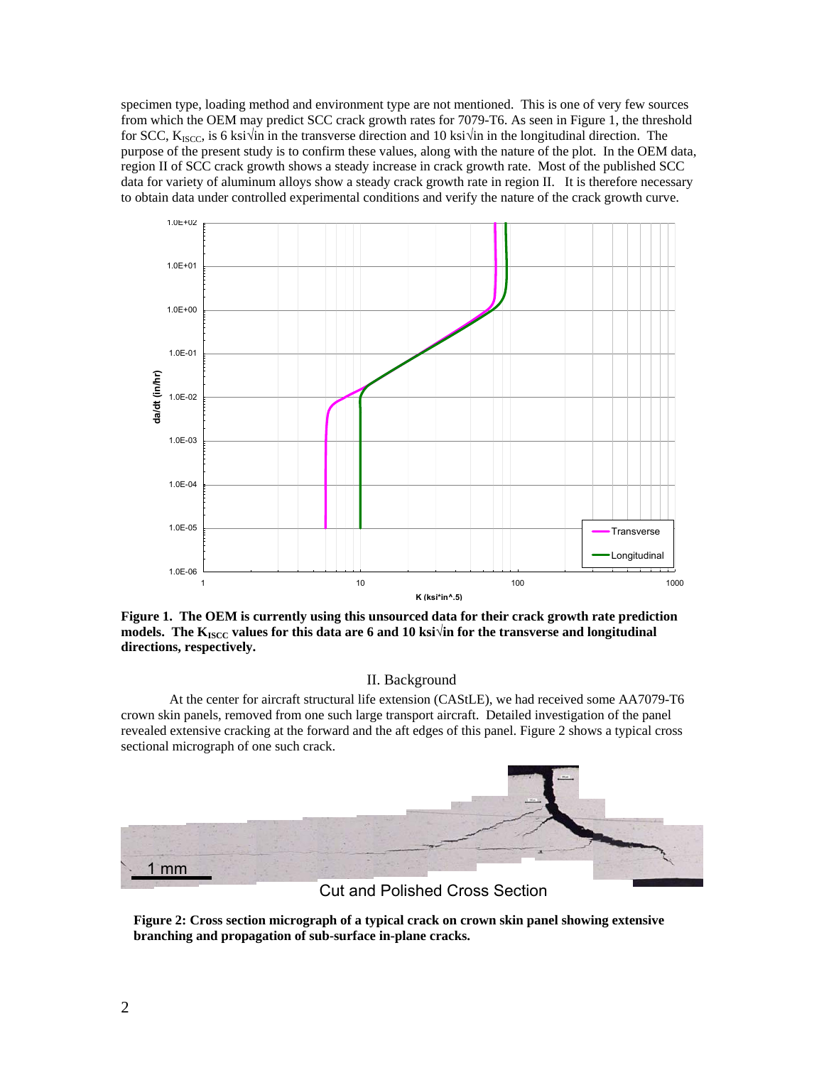specimen type, loading method and environment type are not mentioned. This is one of very few sources from which the OEM may predict SCC crack growth rates for 7079-T6. As seen in Figure 1, the threshold for SCC, K<sub>ISCC</sub>, is 6 ksi√in in the transverse direction and 10 ksi√in in the longitudinal direction. The purpose of the present study is to confirm these values, along with the nature of the plot. In the OEM data, region II of SCC crack growth shows a steady increase in crack growth rate. Most of the published SCC data for variety of aluminum alloys show a steady crack growth rate in region II. It is therefore necessary to obtain data under controlled experimental conditions and verify the nature of the crack growth curve.



**Figure 1. The OEM is currently using this unsourced data for their crack growth rate prediction**  models. The K<sub>ISCC</sub> values for this data are 6 and 10 ksi√in for the transverse and longitudinal **directions, respectively.** 

# II. Background

At the center for aircraft structural life extension (CAStLE), we had received some AA7079-T6 crown skin panels, removed from one such large transport aircraft. Detailed investigation of the panel revealed extensive cracking at the forward and the aft edges of this panel. Figure 2 shows a typical cross sectional micrograph of one such crack.



**Figure 2: Cross section micrograph of a typical crack on crown skin panel showing extensive branching and propagation of sub-surface in-plane cracks.**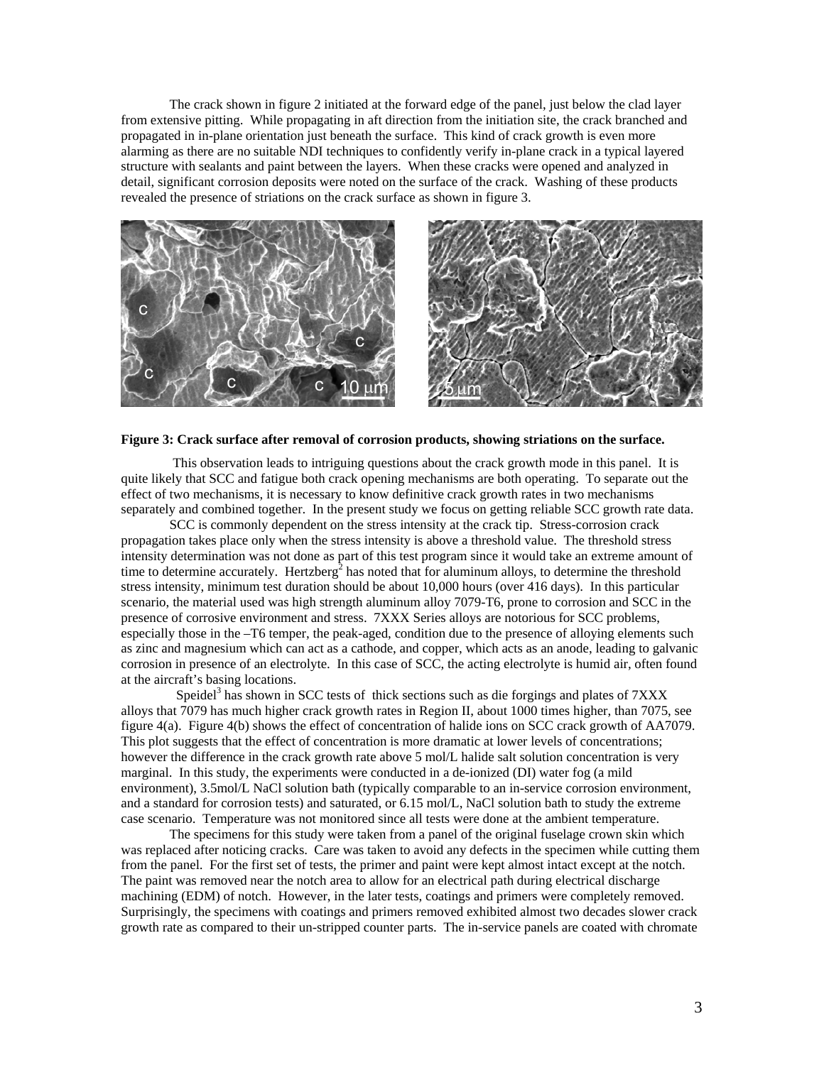The crack shown in figure 2 initiated at the forward edge of the panel, just below the clad layer from extensive pitting. While propagating in aft direction from the initiation site, the crack branched and propagated in in-plane orientation just beneath the surface. This kind of crack growth is even more alarming as there are no suitable NDI techniques to confidently verify in-plane crack in a typical layered structure with sealants and paint between the layers. When these cracks were opened and analyzed in detail, significant corrosion deposits were noted on the surface of the crack. Washing of these products revealed the presence of striations on the crack surface as shown in figure 3.



#### **Figure 3: Crack surface after removal of corrosion products, showing striations on the surface.**

 This observation leads to intriguing questions about the crack growth mode in this panel. It is quite likely that SCC and fatigue both crack opening mechanisms are both operating. To separate out the effect of two mechanisms, it is necessary to know definitive crack growth rates in two mechanisms separately and combined together. In the present study we focus on getting reliable SCC growth rate data.

SCC is commonly dependent on the stress intensity at the crack tip. Stress-corrosion crack propagation takes place only when the stress intensity is above a threshold value. The threshold stress intensity determination was not done as part of this test program since it would take an extreme amount of time to determine accurately. Hertzberg<sup>2</sup> has noted that for aluminum alloys, to determine the threshold stress intensity, minimum test duration should be about 10,000 hours (over 416 days). In this particular scenario, the material used was high strength aluminum alloy 7079-T6, prone to corrosion and SCC in the presence of corrosive environment and stress. 7XXX Series alloys are notorious for SCC problems, especially those in the –T6 temper, the peak-aged, condition due to the presence of alloying elements such as zinc and magnesium which can act as a cathode, and copper, which acts as an anode, leading to galvanic corrosion in presence of an electrolyte. In this case of SCC, the acting electrolyte is humid air, often found at the aircraft's basing locations.

Speidel<sup>3</sup> has shown in SCC tests of thick sections such as die forgings and plates of 7XXX alloys that 7079 has much higher crack growth rates in Region II, about 1000 times higher, than 7075, see figure 4(a). Figure 4(b) shows the effect of concentration of halide ions on SCC crack growth of AA7079. This plot suggests that the effect of concentration is more dramatic at lower levels of concentrations; however the difference in the crack growth rate above 5 mol/L halide salt solution concentration is very marginal. In this study, the experiments were conducted in a de-ionized (DI) water fog (a mild environment), 3.5mol/L NaCl solution bath (typically comparable to an in-service corrosion environment, and a standard for corrosion tests) and saturated, or 6.15 mol/L, NaCl solution bath to study the extreme case scenario. Temperature was not monitored since all tests were done at the ambient temperature.

The specimens for this study were taken from a panel of the original fuselage crown skin which was replaced after noticing cracks. Care was taken to avoid any defects in the specimen while cutting them from the panel. For the first set of tests, the primer and paint were kept almost intact except at the notch. The paint was removed near the notch area to allow for an electrical path during electrical discharge machining (EDM) of notch. However, in the later tests, coatings and primers were completely removed. Surprisingly, the specimens with coatings and primers removed exhibited almost two decades slower crack growth rate as compared to their un-stripped counter parts. The in-service panels are coated with chromate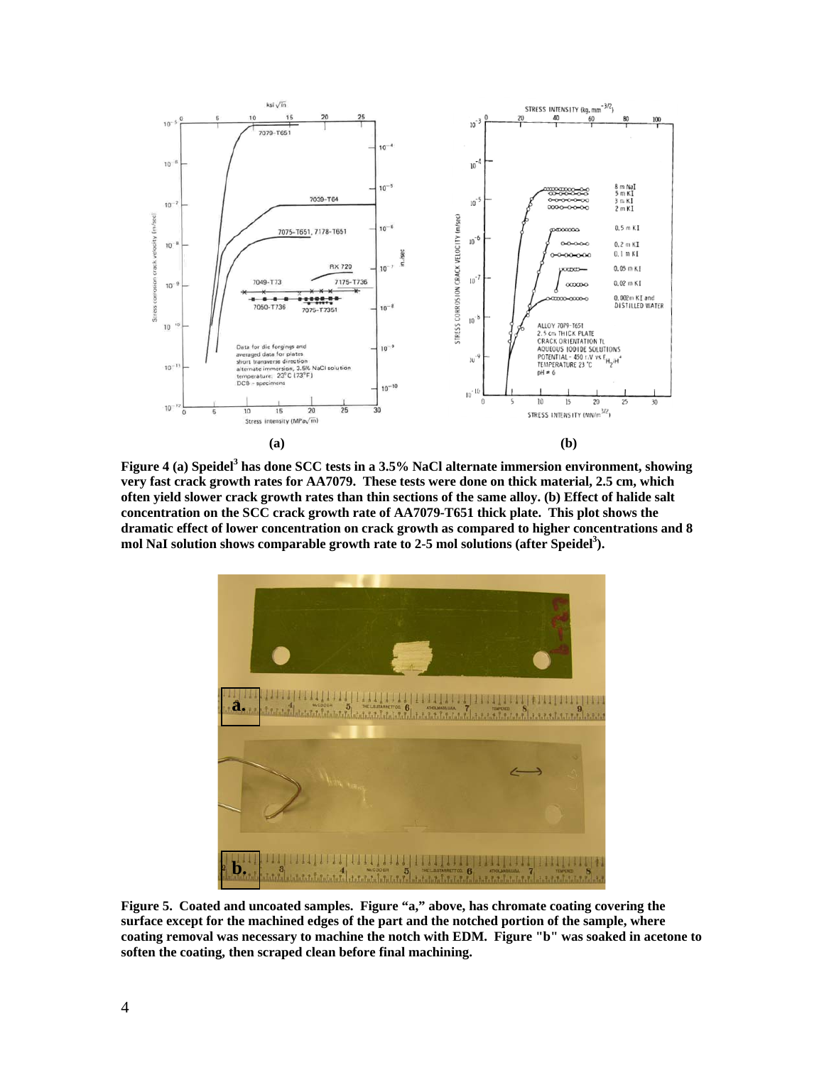

Figure 4 (a) Speidel<sup>3</sup> has done SCC tests in a 3.5% NaCl alternate immersion environment, showing **very fast crack growth rates for AA7079. These tests were done on thick material, 2.5 cm, which often yield slower crack growth rates than thin sections of the same alloy. (b) Effect of halide salt concentration on the SCC crack growth rate of AA7079-T651 thick plate. This plot shows the dramatic effect of lower concentration on crack growth as compared to higher concentrations and 8**  mol NaI solution shows comparable growth rate to 2-5 mol solutions (after Speidel<sup>3</sup>).



**Figure 5. Coated and uncoated samples. Figure "a," above, has chromate coating covering the surface except for the machined edges of the part and the notched portion of the sample, where coating removal was necessary to machine the notch with EDM. Figure "b" was soaked in acetone to soften the coating, then scraped clean before final machining.**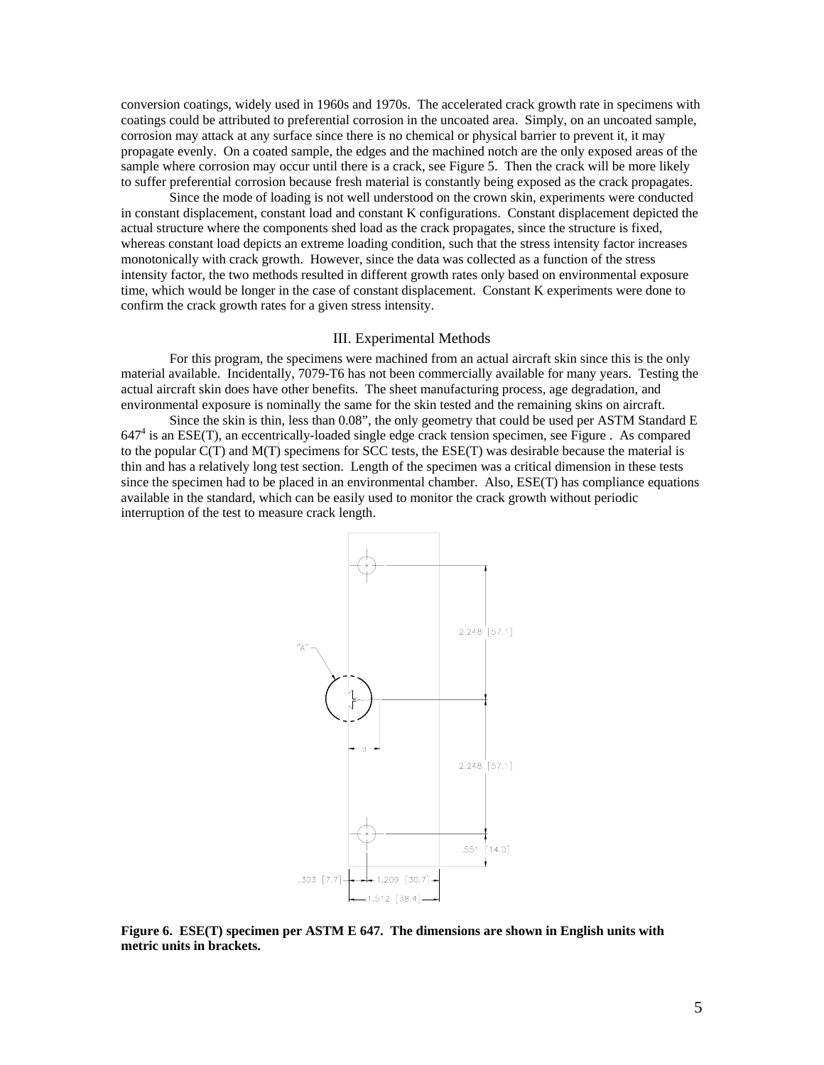conversion coatings, widely used in 1960s and 1970s. The accelerated crack growth rate in specimens with coatings could be attributed to preferential corrosion in the uncoated area. Simply, on an uncoated sample, corrosion may attack at any surface since there is no chemical or physical barrier to prevent it, it may propagate evenly. On a coated sample, the edges and the machined notch are the only exposed areas of the sample where corrosion may occur until there is a crack, see Figure 5. Then the crack will be more likely to suffer preferential corrosion because fresh material is constantly being exposed as the crack propagates.

 Since the mode of loading is not well understood on the crown skin, experiments were conducted in constant displacement, constant load and constant K configurations. Constant displacement depicted the actual structure where the components shed load as the crack propagates, since the structure is fixed, whereas constant load depicts an extreme loading condition, such that the stress intensity factor increases monotonically with crack growth. However, since the data was collected as a function of the stress intensity factor, the two methods resulted in different growth rates only based on environmental exposure time, which would be longer in the case of constant displacement. Constant K experiments were done to confirm the crack growth rates for a given stress intensity.

## III. Experimental Methods

For this program, the specimens were machined from an actual aircraft skin since this is the only material available. Incidentally, 7079-T6 has not been commercially available for many years. Testing the actual aircraft skin does have other benefits. The sheet manufacturing process, age degradation, and environmental exposure is nominally the same for the skin tested and the remaining skins on aircraft.

Since the skin is thin, less than 0.08", the only geometry that could be used per ASTM Standard E 647<sup>4</sup> is an ESE(T), an eccentrically-loaded single edge crack tension specimen, see Figure . As compared to the popular C(T) and M(T) specimens for SCC tests, the ESE(T) was desirable because the material is thin and has a relatively long test section. Length of the specimen was a critical dimension in these tests since the specimen had to be placed in an environmental chamber. Also, ESE(T) has compliance equations available in the standard, which can be easily used to monitor the crack growth without periodic interruption of the test to measure crack length.



**Figure 6. ESE(T) specimen per ASTM E 647. The dimensions are shown in English units with metric units in brackets.**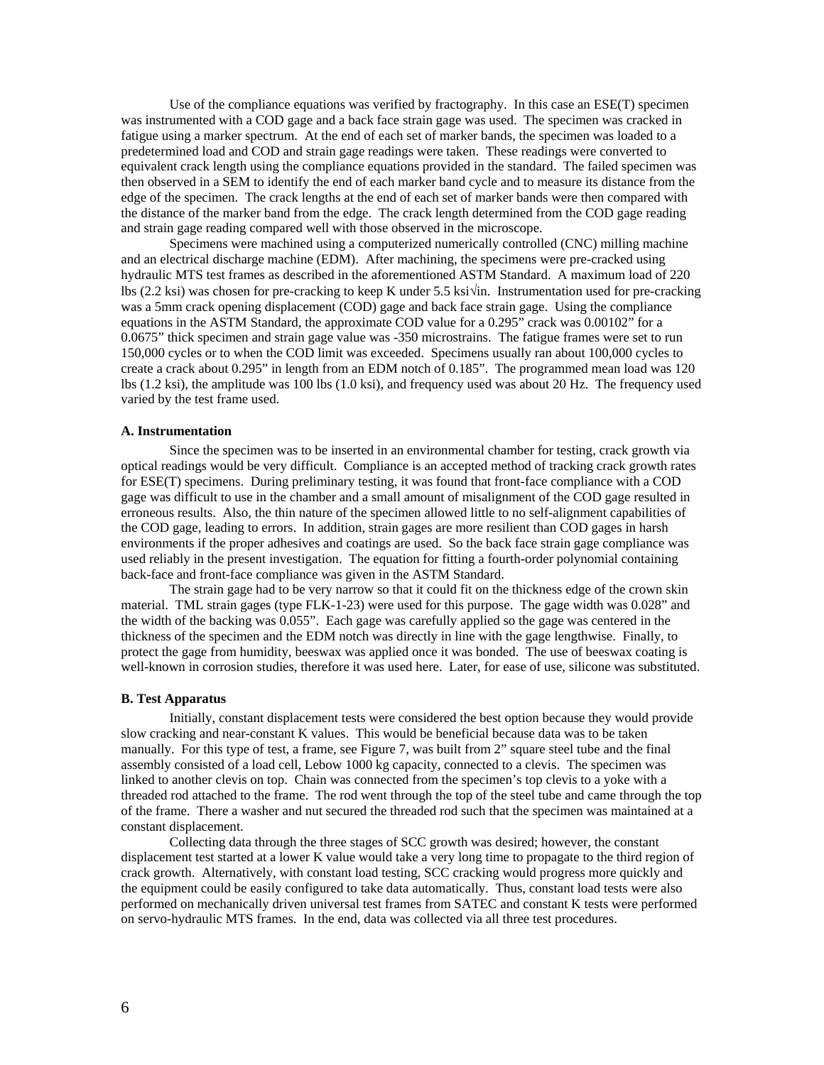Use of the compliance equations was verified by fractography. In this case an ESE(T) specimen was instrumented with a COD gage and a back face strain gage was used. The specimen was cracked in fatigue using a marker spectrum. At the end of each set of marker bands, the specimen was loaded to a predetermined load and COD and strain gage readings were taken. These readings were converted to equivalent crack length using the compliance equations provided in the standard. The failed specimen was then observed in a SEM to identify the end of each marker band cycle and to measure its distance from the edge of the specimen. The crack lengths at the end of each set of marker bands were then compared with the distance of the marker band from the edge. The crack length determined from the COD gage reading and strain gage reading compared well with those observed in the microscope.

Specimens were machined using a computerized numerically controlled (CNC) milling machine and an electrical discharge machine (EDM). After machining, the specimens were pre-cracked using hydraulic MTS test frames as described in the aforementioned ASTM Standard. A maximum load of 220 lbs (2.2 ksi) was chosen for pre-cracking to keep K under 5.5 ksi√in. Instrumentation used for pre-cracking was a 5mm crack opening displacement (COD) gage and back face strain gage. Using the compliance equations in the ASTM Standard, the approximate COD value for a 0.295" crack was 0.00102" for a 0.0675" thick specimen and strain gage value was -350 microstrains. The fatigue frames were set to run 150,000 cycles or to when the COD limit was exceeded. Specimens usually ran about 100,000 cycles to create a crack about 0.295" in length from an EDM notch of 0.185". The programmed mean load was 120 lbs (1.2 ksi), the amplitude was 100 lbs (1.0 ksi), and frequency used was about 20 Hz. The frequency used varied by the test frame used.

#### **A. Instrumentation**

 Since the specimen was to be inserted in an environmental chamber for testing, crack growth via optical readings would be very difficult. Compliance is an accepted method of tracking crack growth rates for ESE(T) specimens. During preliminary testing, it was found that front-face compliance with a COD gage was difficult to use in the chamber and a small amount of misalignment of the COD gage resulted in erroneous results. Also, the thin nature of the specimen allowed little to no self-alignment capabilities of the COD gage, leading to errors. In addition, strain gages are more resilient than COD gages in harsh environments if the proper adhesives and coatings are used. So the back face strain gage compliance was used reliably in the present investigation. The equation for fitting a fourth-order polynomial containing back-face and front-face compliance was given in the ASTM Standard.

 The strain gage had to be very narrow so that it could fit on the thickness edge of the crown skin material. TML strain gages (type FLK-1-23) were used for this purpose. The gage width was 0.028" and the width of the backing was 0.055". Each gage was carefully applied so the gage was centered in the thickness of the specimen and the EDM notch was directly in line with the gage lengthwise. Finally, to protect the gage from humidity, beeswax was applied once it was bonded. The use of beeswax coating is well-known in corrosion studies, therefore it was used here. Later, for ease of use, silicone was substituted.

#### **B. Test Apparatus**

 Initially, constant displacement tests were considered the best option because they would provide slow cracking and near-constant K values. This would be beneficial because data was to be taken manually. For this type of test, a frame, see Figure 7, was built from 2" square steel tube and the final assembly consisted of a load cell, Lebow 1000 kg capacity, connected to a clevis. The specimen was linked to another clevis on top. Chain was connected from the specimen's top clevis to a yoke with a threaded rod attached to the frame. The rod went through the top of the steel tube and came through the top of the frame. There a washer and nut secured the threaded rod such that the specimen was maintained at a constant displacement.

Collecting data through the three stages of SCC growth was desired; however, the constant displacement test started at a lower K value would take a very long time to propagate to the third region of crack growth. Alternatively, with constant load testing, SCC cracking would progress more quickly and the equipment could be easily configured to take data automatically. Thus, constant load tests were also performed on mechanically driven universal test frames from SATEC and constant K tests were performed on servo-hydraulic MTS frames. In the end, data was collected via all three test procedures.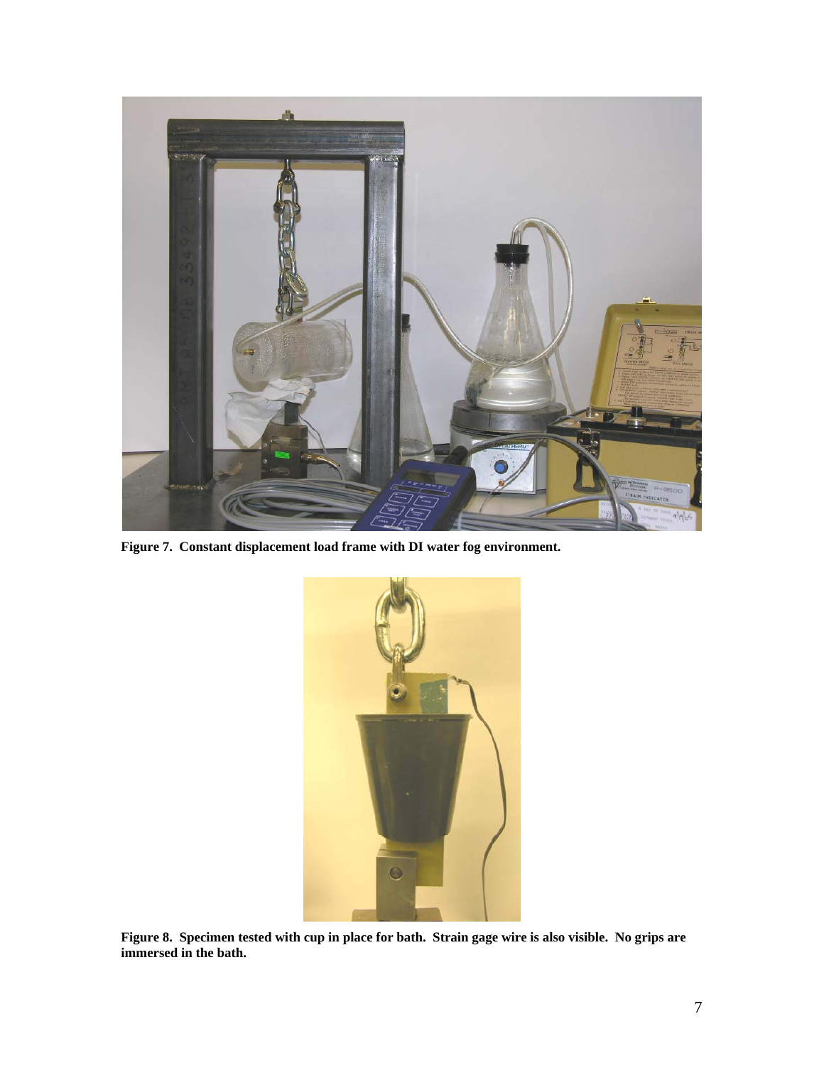

**Figure 7. Constant displacement load frame with DI water fog environment.** 



**Figure 8. Specimen tested with cup in place for bath. Strain gage wire is also visible. No grips are immersed in the bath.**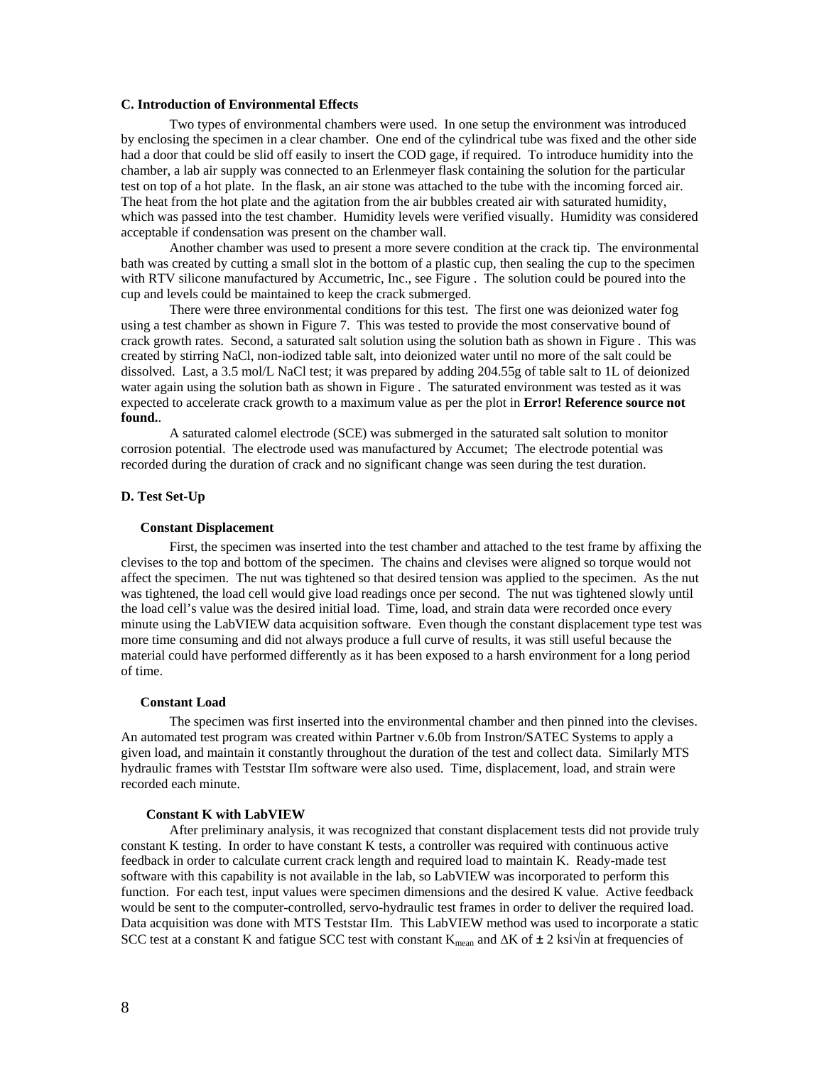## **C. Introduction of Environmental Effects**

 Two types of environmental chambers were used. In one setup the environment was introduced by enclosing the specimen in a clear chamber. One end of the cylindrical tube was fixed and the other side had a door that could be slid off easily to insert the COD gage, if required. To introduce humidity into the chamber, a lab air supply was connected to an Erlenmeyer flask containing the solution for the particular test on top of a hot plate. In the flask, an air stone was attached to the tube with the incoming forced air. The heat from the hot plate and the agitation from the air bubbles created air with saturated humidity, which was passed into the test chamber. Humidity levels were verified visually. Humidity was considered acceptable if condensation was present on the chamber wall.

 Another chamber was used to present a more severe condition at the crack tip. The environmental bath was created by cutting a small slot in the bottom of a plastic cup, then sealing the cup to the specimen with RTV silicone manufactured by Accumetric, Inc., see Figure . The solution could be poured into the cup and levels could be maintained to keep the crack submerged.

 There were three environmental conditions for this test. The first one was deionized water fog using a test chamber as shown in Figure 7. This was tested to provide the most conservative bound of crack growth rates. Second, a saturated salt solution using the solution bath as shown in Figure . This was created by stirring NaCl, non-iodized table salt, into deionized water until no more of the salt could be dissolved. Last, a 3.5 mol/L NaCl test; it was prepared by adding 204.55g of table salt to 1L of deionized water again using the solution bath as shown in Figure . The saturated environment was tested as it was expected to accelerate crack growth to a maximum value as per the plot in **Error! Reference source not found.**.

 A saturated calomel electrode (SCE) was submerged in the saturated salt solution to monitor corrosion potential. The electrode used was manufactured by Accumet; The electrode potential was recorded during the duration of crack and no significant change was seen during the test duration.

# **D. Test Set-Up**

#### **Constant Displacement**

First, the specimen was inserted into the test chamber and attached to the test frame by affixing the clevises to the top and bottom of the specimen. The chains and clevises were aligned so torque would not affect the specimen. The nut was tightened so that desired tension was applied to the specimen. As the nut was tightened, the load cell would give load readings once per second. The nut was tightened slowly until the load cell's value was the desired initial load. Time, load, and strain data were recorded once every minute using the LabVIEW data acquisition software. Even though the constant displacement type test was more time consuming and did not always produce a full curve of results, it was still useful because the material could have performed differently as it has been exposed to a harsh environment for a long period of time.

#### **Constant Load**

The specimen was first inserted into the environmental chamber and then pinned into the clevises. An automated test program was created within Partner v.6.0b from Instron/SATEC Systems to apply a given load, and maintain it constantly throughout the duration of the test and collect data. Similarly MTS hydraulic frames with Teststar IIm software were also used. Time, displacement, load, and strain were recorded each minute.

#### **Constant K with LabVIEW**

 After preliminary analysis, it was recognized that constant displacement tests did not provide truly constant K testing. In order to have constant K tests, a controller was required with continuous active feedback in order to calculate current crack length and required load to maintain K. Ready-made test software with this capability is not available in the lab, so LabVIEW was incorporated to perform this function. For each test, input values were specimen dimensions and the desired K value. Active feedback would be sent to the computer-controlled, servo-hydraulic test frames in order to deliver the required load. Data acquisition was done with MTS Teststar IIm. This LabVIEW method was used to incorporate a static SCC test at a constant K and fatigue SCC test with constant  $K_{mean}$  and  $\Delta K$  of  $\pm 2$  ksi $\sqrt{in}$  at frequencies of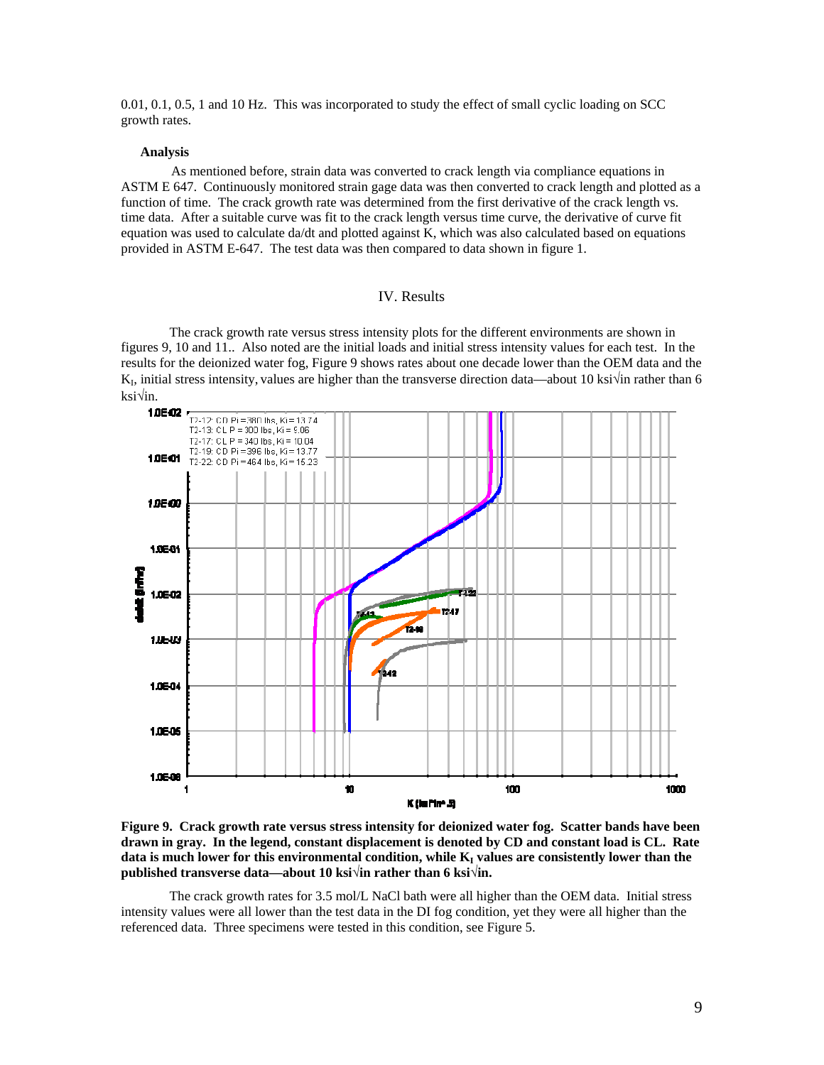0.01, 0.1, 0.5, 1 and 10 Hz. This was incorporated to study the effect of small cyclic loading on SCC growth rates.

#### **Analysis**

As mentioned before, strain data was converted to crack length via compliance equations in ASTM E 647. Continuously monitored strain gage data was then converted to crack length and plotted as a function of time. The crack growth rate was determined from the first derivative of the crack length vs. time data. After a suitable curve was fit to the crack length versus time curve, the derivative of curve fit equation was used to calculate da/dt and plotted against K, which was also calculated based on equations provided in ASTM E-647. The test data was then compared to data shown in figure 1.

# IV. Results

The crack growth rate versus stress intensity plots for the different environments are shown in figures 9, 10 and 11.. Also noted are the initial loads and initial stress intensity values for each test. In the results for the deionized water fog, Figure 9 shows rates about one decade lower than the OEM data and the  $K_1$ , initial stress intensity, values are higher than the transverse direction data—about 10 ksi√in rather than 6 ksi√in.



**Figure 9. Crack growth rate versus stress intensity for deionized water fog. Scatter bands have been drawn in gray. In the legend, constant displacement is denoted by CD and constant load is CL. Rate**  data is much lower for this environmental condition, while K<sub>I</sub> values are consistently lower than the **published transverse data—about 10 ksi√in rather than 6 ksi√in.** 

The crack growth rates for 3.5 mol/L NaCl bath were all higher than the OEM data. Initial stress intensity values were all lower than the test data in the DI fog condition, yet they were all higher than the referenced data. Three specimens were tested in this condition, see Figure 5.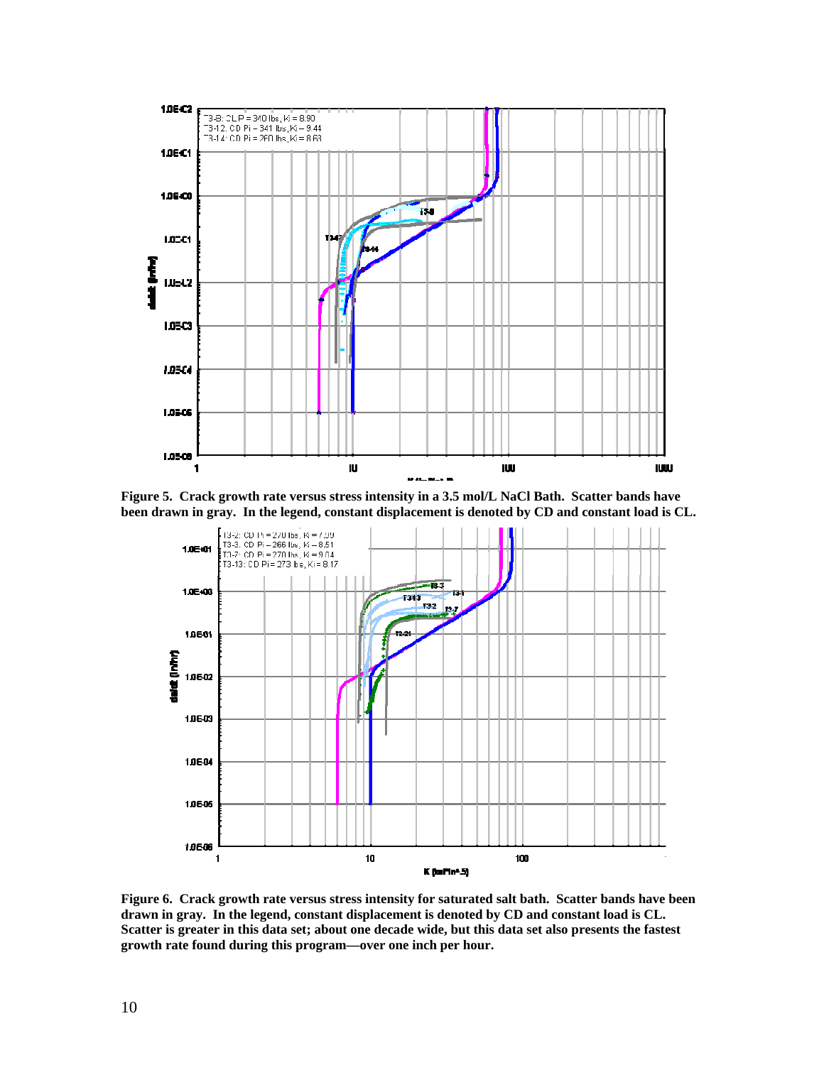

**Figure 5. Crack growth rate versus stress intensity in a 3.5 mol/L NaCl Bath. Scatter bands have been drawn in gray. In the legend, constant displacement is denoted by CD and constant load is CL.** 



**Figure 6. Crack growth rate versus stress intensity for saturated salt bath. Scatter bands have been drawn in gray. In the legend, constant displacement is denoted by CD and constant load is CL. Scatter is greater in this data set; about one decade wide, but this data set also presents the fastest growth rate found during this program—over one inch per hour.**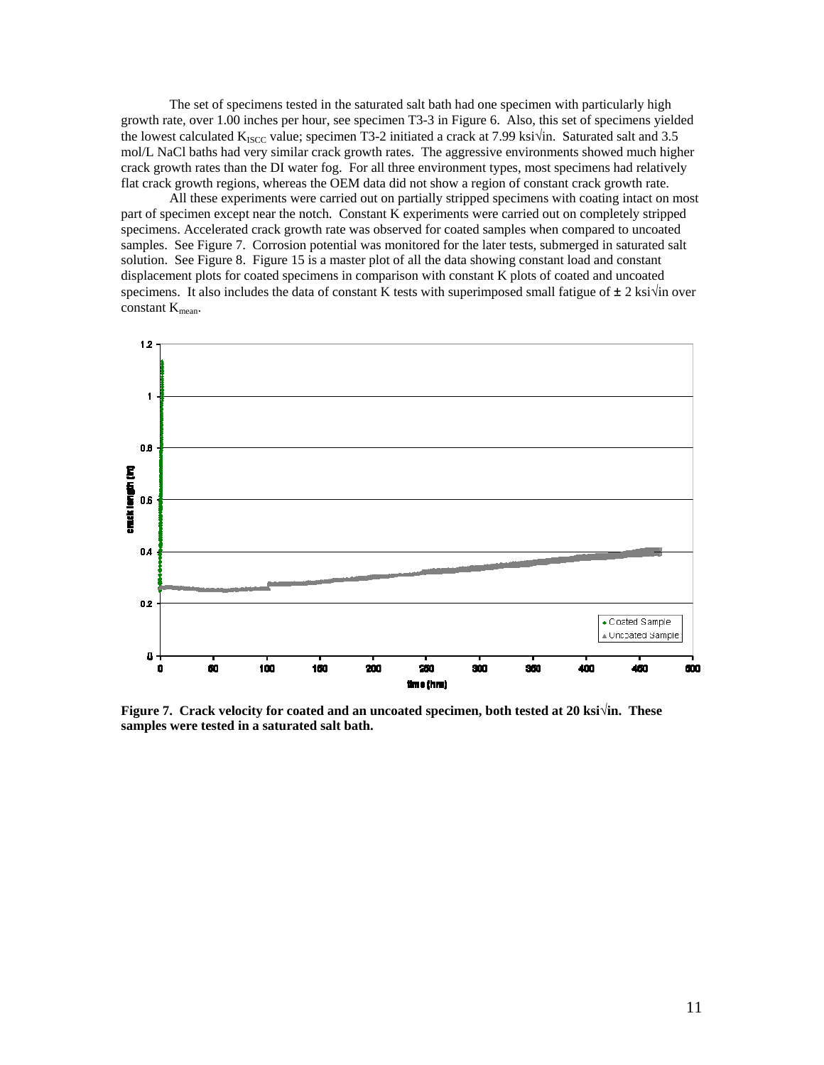The set of specimens tested in the saturated salt bath had one specimen with particularly high growth rate, over 1.00 inches per hour, see specimen T3-3 in Figure 6. Also, this set of specimens yielded the lowest calculated K<sub>ISCC</sub> value; specimen T3-2 initiated a crack at 7.99 ksi $\sqrt{in}$ . Saturated salt and 3.5 mol/L NaCl baths had very similar crack growth rates. The aggressive environments showed much higher crack growth rates than the DI water fog. For all three environment types, most specimens had relatively flat crack growth regions, whereas the OEM data did not show a region of constant crack growth rate.

 All these experiments were carried out on partially stripped specimens with coating intact on most part of specimen except near the notch. Constant K experiments were carried out on completely stripped specimens. Accelerated crack growth rate was observed for coated samples when compared to uncoated samples. See Figure 7. Corrosion potential was monitored for the later tests, submerged in saturated salt solution. See Figure 8. Figure 15 is a master plot of all the data showing constant load and constant displacement plots for coated specimens in comparison with constant K plots of coated and uncoated specimens. It also includes the data of constant K tests with superimposed small fatigue of  $\pm 2$  ksi $\sqrt{ }$ in over constant  $K_{\text{mean}}$ .



**Figure 7. Crack velocity for coated and an uncoated specimen, both tested at 20 ksi√in. These samples were tested in a saturated salt bath.**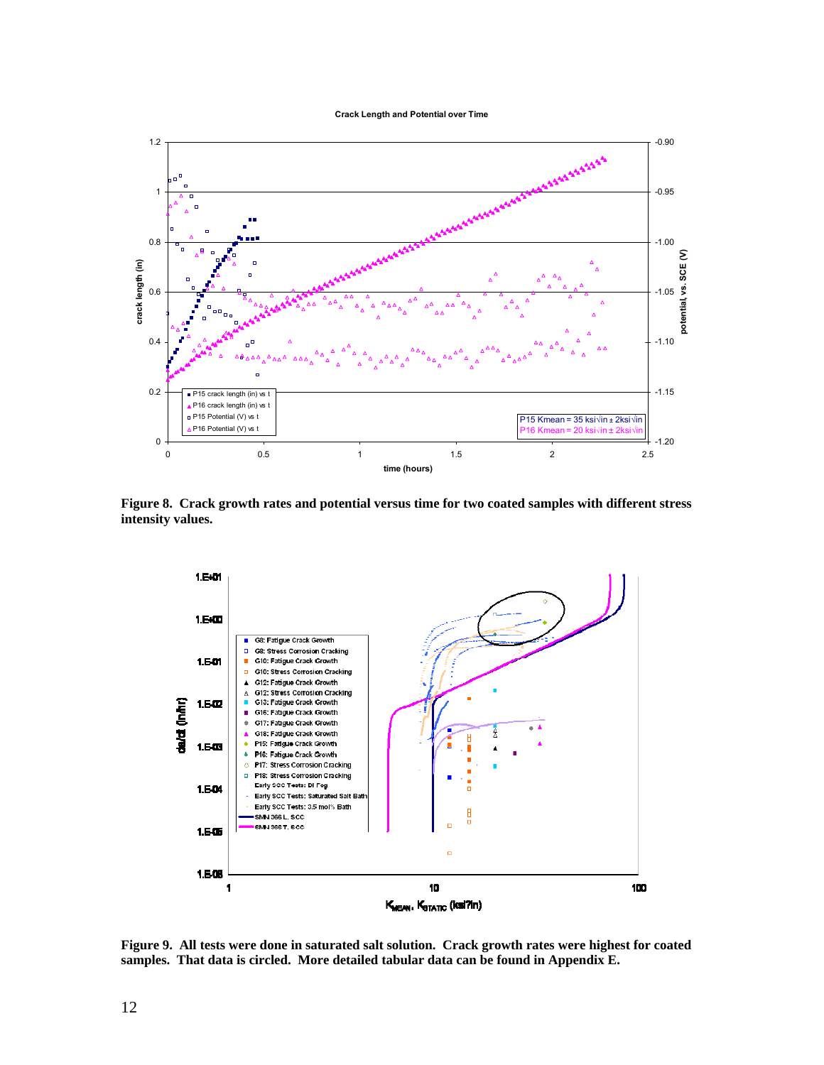**Crack Length and Potential over Time**



**Figure 8. Crack growth rates and potential versus time for two coated samples with different stress intensity values.** 



**Figure 9. All tests were done in saturated salt solution. Crack growth rates were highest for coated samples. That data is circled. More detailed tabular data can be found in Appendix E.**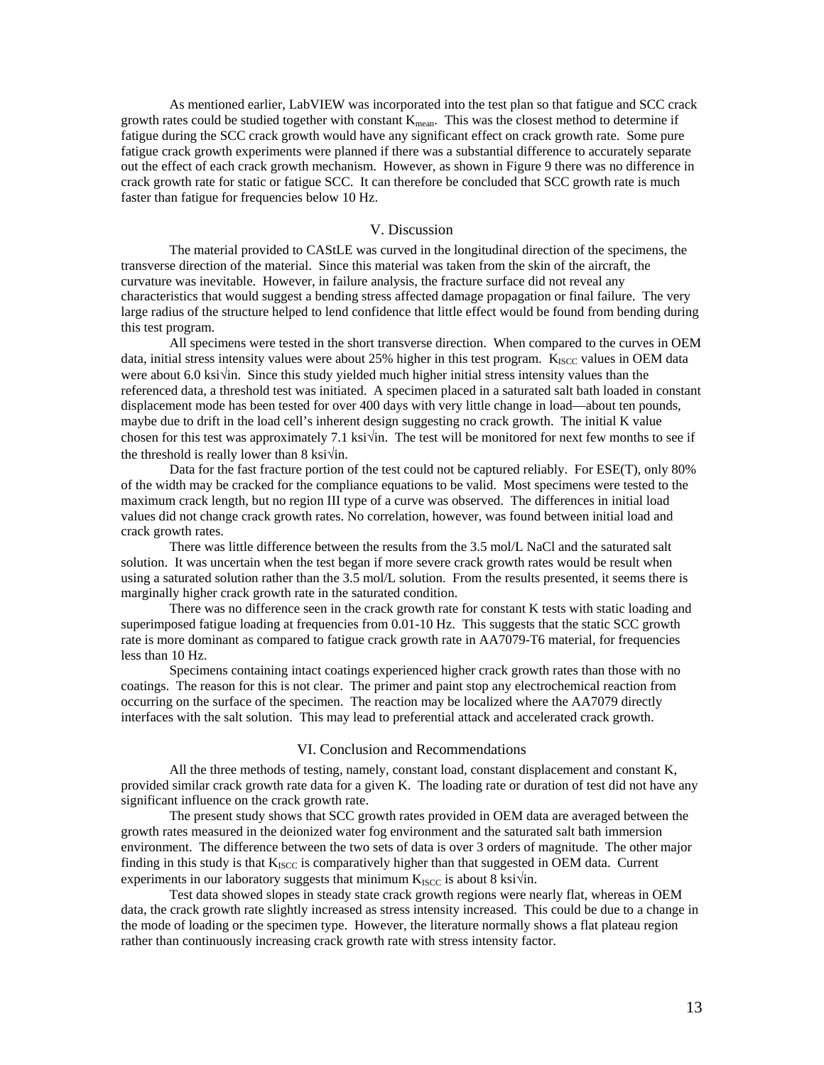As mentioned earlier, LabVIEW was incorporated into the test plan so that fatigue and SCC crack growth rates could be studied together with constant  $K_{mean}$ . This was the closest method to determine if fatigue during the SCC crack growth would have any significant effect on crack growth rate. Some pure fatigue crack growth experiments were planned if there was a substantial difference to accurately separate out the effect of each crack growth mechanism. However, as shown in Figure 9 there was no difference in crack growth rate for static or fatigue SCC. It can therefore be concluded that SCC growth rate is much faster than fatigue for frequencies below 10 Hz.

# V. Discussion

 The material provided to CAStLE was curved in the longitudinal direction of the specimens, the transverse direction of the material. Since this material was taken from the skin of the aircraft, the curvature was inevitable. However, in failure analysis, the fracture surface did not reveal any characteristics that would suggest a bending stress affected damage propagation or final failure. The very large radius of the structure helped to lend confidence that little effect would be found from bending during this test program.

 All specimens were tested in the short transverse direction. When compared to the curves in OEM data, initial stress intensity values were about  $25\%$  higher in this test program.  $K_{\text{ISCC}}$  values in OEM data were about 6.0 ksi√in. Since this study yielded much higher initial stress intensity values than the referenced data, a threshold test was initiated. A specimen placed in a saturated salt bath loaded in constant displacement mode has been tested for over 400 days with very little change in load—about ten pounds, maybe due to drift in the load cell's inherent design suggesting no crack growth. The initial K value chosen for this test was approximately 7.1 ksi√in. The test will be monitored for next few months to see if the threshold is really lower than 8 ksi $\sqrt{\text{in}}$ .

 Data for the fast fracture portion of the test could not be captured reliably. For ESE(T), only 80% of the width may be cracked for the compliance equations to be valid. Most specimens were tested to the maximum crack length, but no region III type of a curve was observed. The differences in initial load values did not change crack growth rates. No correlation, however, was found between initial load and crack growth rates.

There was little difference between the results from the 3.5 mol/L NaCl and the saturated salt solution. It was uncertain when the test began if more severe crack growth rates would be result when using a saturated solution rather than the 3.5 mol/L solution. From the results presented, it seems there is marginally higher crack growth rate in the saturated condition.

There was no difference seen in the crack growth rate for constant K tests with static loading and superimposed fatigue loading at frequencies from 0.01-10 Hz. This suggests that the static SCC growth rate is more dominant as compared to fatigue crack growth rate in AA7079-T6 material, for frequencies less than 10 Hz.

 Specimens containing intact coatings experienced higher crack growth rates than those with no coatings. The reason for this is not clear. The primer and paint stop any electrochemical reaction from occurring on the surface of the specimen. The reaction may be localized where the AA7079 directly interfaces with the salt solution. This may lead to preferential attack and accelerated crack growth.

#### VI. Conclusion and Recommendations

All the three methods of testing, namely, constant load, constant displacement and constant K, provided similar crack growth rate data for a given K. The loading rate or duration of test did not have any significant influence on the crack growth rate.

The present study shows that SCC growth rates provided in OEM data are averaged between the growth rates measured in the deionized water fog environment and the saturated salt bath immersion environment. The difference between the two sets of data is over 3 orders of magnitude. The other major finding in this study is that  $K_{ISCO}$  is comparatively higher than that suggested in OEM data. Current experiments in our laboratory suggests that minimum  $K_{ISCO}$  is about 8 ksi $\sqrt{in}$ .

Test data showed slopes in steady state crack growth regions were nearly flat, whereas in OEM data, the crack growth rate slightly increased as stress intensity increased. This could be due to a change in the mode of loading or the specimen type. However, the literature normally shows a flat plateau region rather than continuously increasing crack growth rate with stress intensity factor.